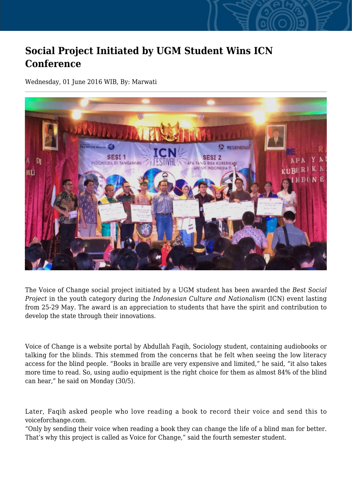## **Social Project Initiated by UGM Student Wins ICN Conference**

Wednesday, 01 June 2016 WIB, By: Marwati



The Voice of Change social project initiated by a UGM student has been awarded the *Best Social Project* in the youth category during the *Indonesian Culture and Nationalism* (ICN) event lasting from 25-29 May. The award is an appreciation to students that have the spirit and contribution to develop the state through their innovations.

Voice of Change is a website portal by Abdullah Faqih, Sociology student, containing audiobooks or talking for the blinds. This stemmed from the concerns that he felt when seeing the low literacy access for the blind people. "Books in braille are very expensive and limited," he said, "it also takes more time to read. So, using audio equipment is the right choice for them as almost 84% of the blind can hear," he said on Monday (30/5).

Later, Faqih asked people who love reading a book to record their voice and send this to voiceforchange.com.

"Only by sending their voice when reading a book they can change the life of a blind man for better. That's why this project is called as Voice for Change," said the fourth semester student.